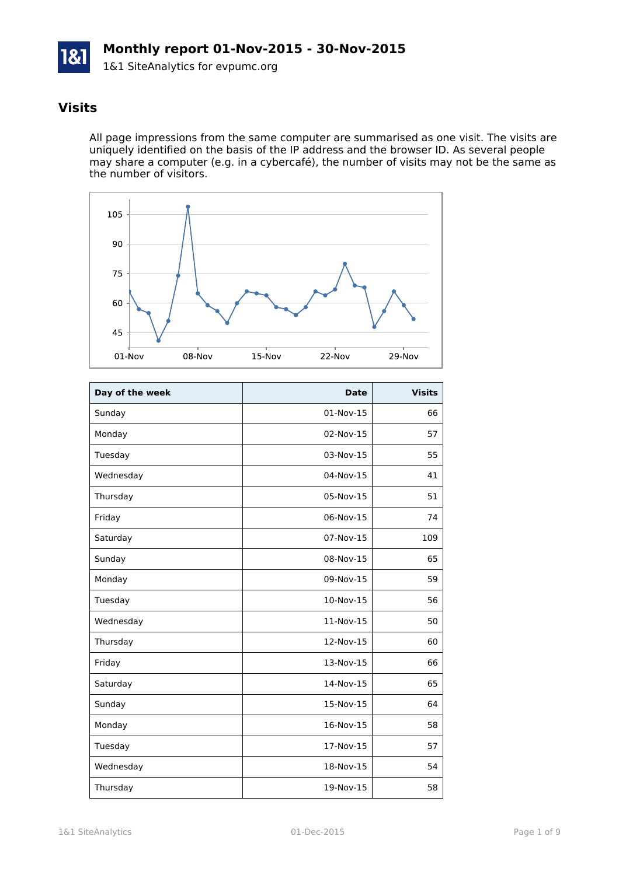

# **Visits**

All page impressions from the same computer are summarised as one visit. The visits are uniquely identified on the basis of the IP address and the browser ID. As several people may share a computer (e.g. in a cybercafé), the number of visits may not be the same as the number of visitors.



| Day of the week | <b>Date</b> | <b>Visits</b> |
|-----------------|-------------|---------------|
| Sunday          | 01-Nov-15   | 66            |
| Monday          | 02-Nov-15   | 57            |
| Tuesday         | 03-Nov-15   | 55            |
| Wednesday       | 04-Nov-15   | 41            |
| Thursday        | 05-Nov-15   | 51            |
| Friday          | 06-Nov-15   | 74            |
| Saturday        | 07-Nov-15   | 109           |
| Sunday          | 08-Nov-15   | 65            |
| Monday          | 09-Nov-15   | 59            |
| Tuesday         | 10-Nov-15   | 56            |
| Wednesday       | 11-Nov-15   | 50            |
| Thursday        | 12-Nov-15   | 60            |
| Friday          | 13-Nov-15   | 66            |
| Saturday        | 14-Nov-15   | 65            |
| Sunday          | 15-Nov-15   | 64            |
| Monday          | 16-Nov-15   | 58            |
| Tuesday         | 17-Nov-15   | 57            |
| Wednesday       | 18-Nov-15   | 54            |
| Thursday        | 19-Nov-15   | 58            |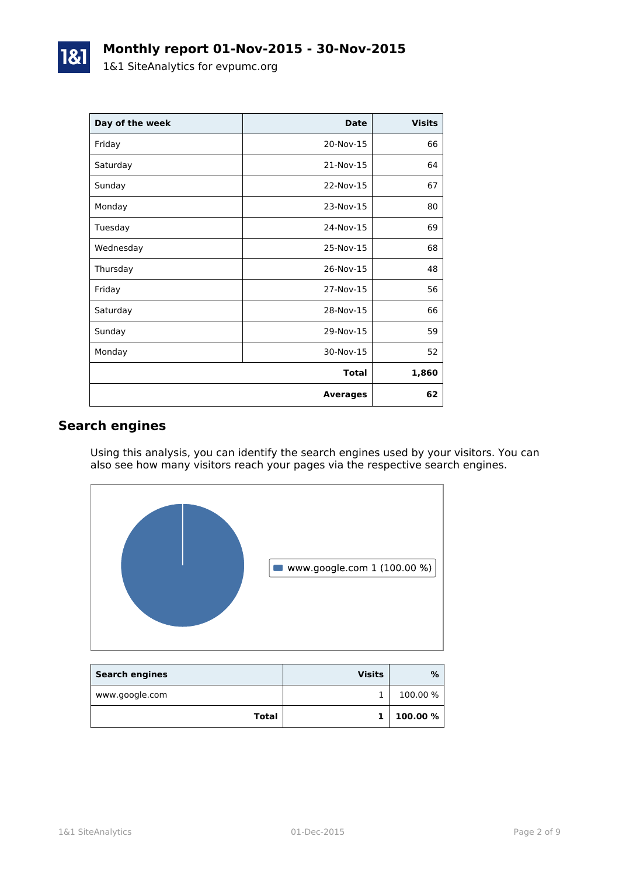| Day of the week | <b>Date</b>     | <b>Visits</b> |
|-----------------|-----------------|---------------|
| Friday          | 20-Nov-15       | 66            |
| Saturday        | 21-Nov-15       | 64            |
| Sunday          | 22-Nov-15       | 67            |
| Monday          | 23-Nov-15       | 80            |
| Tuesday         | 24-Nov-15       | 69            |
| Wednesday       | 25-Nov-15       | 68            |
| Thursday        | 26-Nov-15       | 48            |
| Friday          | 27-Nov-15       | 56            |
| Saturday        | 28-Nov-15       | 66            |
| Sunday          | 29-Nov-15       | 59            |
| Monday          | 30-Nov-15       | 52            |
|                 | <b>Total</b>    | 1,860         |
|                 | <b>Averages</b> | 62            |

## **Search engines**

Using this analysis, you can identify the search engines used by your visitors. You can also see how many visitors reach your pages via the respective search engines.



| <b>Search engines</b> | <b>Visits</b> | %        |
|-----------------------|---------------|----------|
| www.google.com        |               | 100.00 % |
| Total                 |               | 100.00 % |

1&1 SiteAnalytics 01-Dec-2015 Page 2 of 9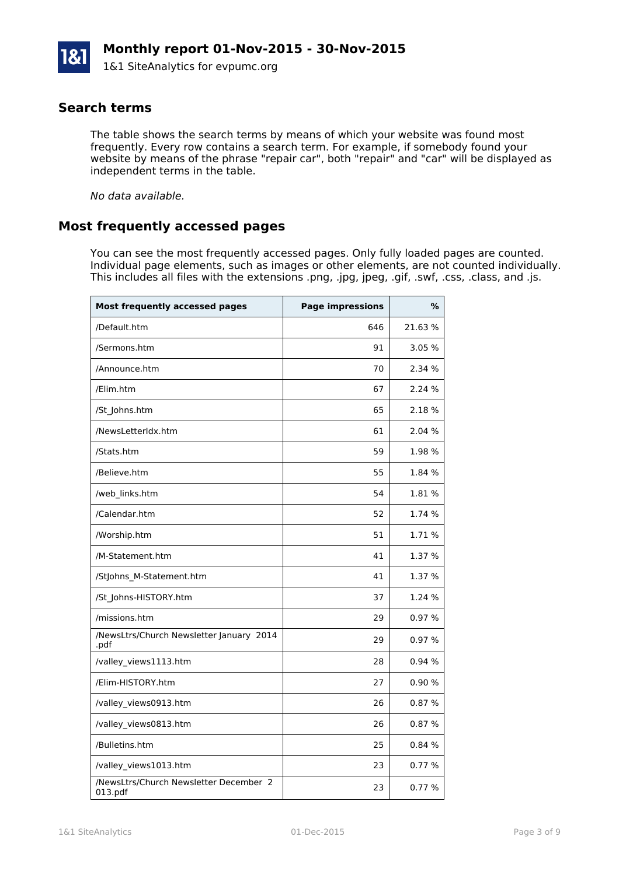### **Search terms**

The table shows the search terms by means of which your website was found most frequently. Every row contains a search term. For example, if somebody found your website by means of the phrase "repair car", both "repair" and "car" will be displayed as independent terms in the table.

*No data available.*

### **Most frequently accessed pages**

You can see the most frequently accessed pages. Only fully loaded pages are counted. Individual page elements, such as images or other elements, are not counted individually. This includes all files with the extensions .png, .jpg, jpeg, .gif, .swf, .css, .class, and .js.

| <b>Most frequently accessed pages</b>             | <b>Page impressions</b> | %      |
|---------------------------------------------------|-------------------------|--------|
| /Default.htm                                      | 646                     | 21.63% |
| /Sermons.htm                                      | 91                      | 3.05 % |
| /Announce.htm                                     | 70                      | 2.34 % |
| /Elim.htm                                         | 67                      | 2.24 % |
| /St_Johns.htm                                     | 65                      | 2.18 % |
| /NewsLetterIdx.htm                                | 61                      | 2.04 % |
| /Stats.htm                                        | 59                      | 1.98 % |
| /Believe.htm                                      | 55                      | 1.84 % |
| /web_links.htm                                    | 54                      | 1.81 % |
| /Calendar.htm                                     | 52                      | 1.74 % |
| /Worship.htm                                      | 51                      | 1.71 % |
| /M-Statement.htm                                  | 41                      | 1.37 % |
| /StJohns_M-Statement.htm                          | 41                      | 1.37 % |
| /St_Johns-HISTORY.htm                             | 37                      | 1.24 % |
| /missions.htm                                     | 29                      | 0.97%  |
| /NewsLtrs/Church Newsletter January 2014<br>.pdf  | 29                      | 0.97%  |
| /valley views1113.htm                             | 28                      | 0.94%  |
| /Elim-HISTORY.htm                                 | 27                      | 0.90%  |
| /valley_views0913.htm                             | 26                      | 0.87%  |
| /valley_views0813.htm                             | 26                      | 0.87%  |
| /Bulletins.htm                                    | 25                      | 0.84%  |
| /valley_views1013.htm                             | 23                      | 0.77 % |
| /NewsLtrs/Church Newsletter December 2<br>013.pdf | 23                      | 0.77%  |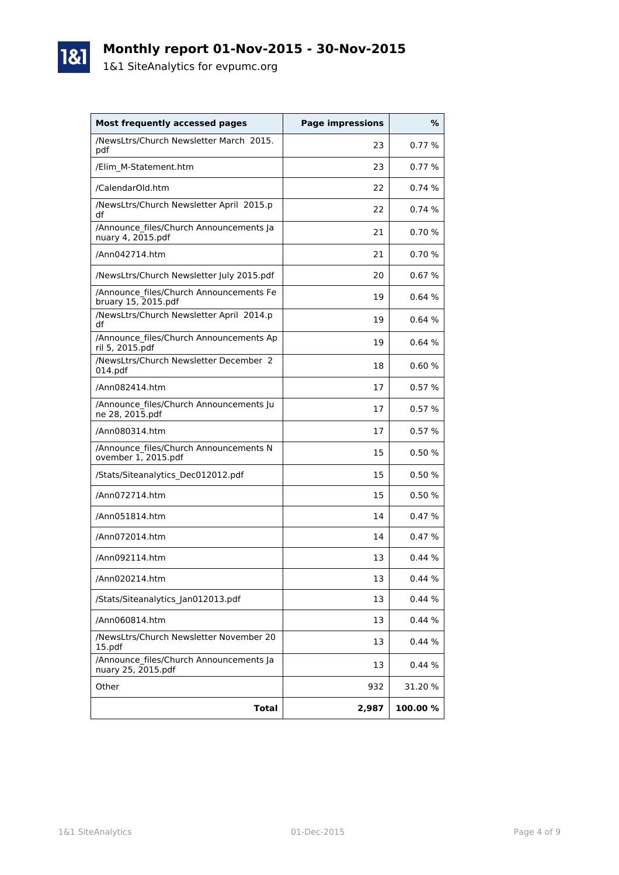# **Monthly report 01-Nov-2015 - 30-Nov-2015**

1&1 SiteAnalytics for evpumc.org

1&1

| <b>Most frequently accessed pages</b>                          | <b>Page impressions</b> | %       |
|----------------------------------------------------------------|-------------------------|---------|
| /NewsLtrs/Church Newsletter March 2015.<br>pdf                 | 23                      | 0.77%   |
| /Elim M-Statement.htm                                          | 23                      | 0.77%   |
| /CalendarOld.htm                                               | 22                      | 0.74%   |
| /NewsLtrs/Church Newsletter April 2015.p<br>df                 | 22                      | 0.74%   |
| /Announce_files/Church Announcements Ja<br>nuary 4, 2015.pdf   | 21                      | 0.70%   |
| /Ann042714.htm                                                 | 21                      | 0.70%   |
| /NewsLtrs/Church Newsletter July 2015.pdf                      | 20                      | 0.67%   |
| /Announce files/Church Announcements Fe<br>bruary 15, 2015.pdf | 19                      | 0.64%   |
| /NewsLtrs/Church Newsletter April 2014.p<br>df                 | 19                      | 0.64%   |
| /Announce files/Church Announcements Ap<br>ril 5, 2015.pdf     | 19                      | 0.64%   |
| /NewsLtrs/Church Newsletter December 2<br>014.pdf              | 18                      | 0.60%   |
| /Ann082414.htm                                                 | 17                      | 0.57%   |
| /Announce files/Church Announcements Ju<br>ne 28, 2015.pdf     | 17                      | 0.57%   |
| /Ann080314.htm                                                 | 17                      | 0.57%   |
| /Announce files/Church Announcements N<br>ovember 1, 2015.pdf  | 15                      | 0.50%   |
| /Stats/Siteanalytics_Dec012012.pdf                             | 15                      | 0.50 %  |
| /Ann072714.htm                                                 | 15                      | 0.50%   |
| /Ann051814.htm                                                 | 14                      | 0.47%   |
| /Ann072014.htm                                                 | 14                      | 0.47%   |
| /Ann092114.htm                                                 | 13                      | 0.44%   |
| /Ann020214.htm                                                 | 13                      | 0.44 %  |
| /Stats/Siteanalytics_Jan012013.pdf                             | 13                      | 0.44%   |
| /Ann060814.htm                                                 | 13                      | 0.44%   |
| /NewsLtrs/Church Newsletter November 20<br>15.pdf              | 13                      | 0.44%   |
| /Announce_files/Church Announcements Ja<br>nuary 25, 2015.pdf  | 13                      | 0.44%   |
| Other                                                          | 932                     | 31.20 % |
| <b>Total</b>                                                   | 2,987                   | 100.00% |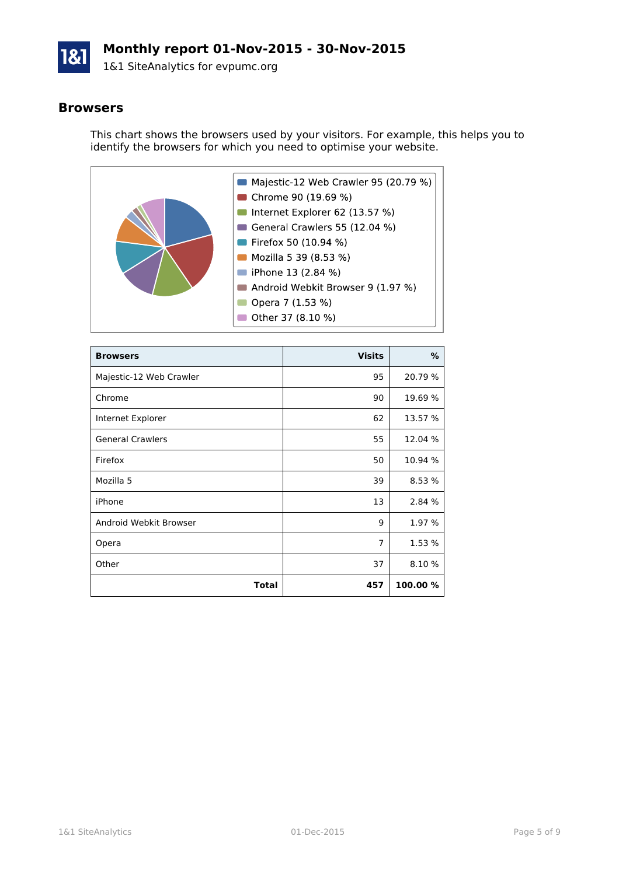

# **Monthly report 01-Nov-2015 - 30-Nov-2015**

1&1 SiteAnalytics for evpumc.org

#### **Browsers**

This chart shows the browsers used by your visitors. For example, this helps you to identify the browsers for which you need to optimise your website.



| <b>Browsers</b>         | <b>Visits</b>  | %        |
|-------------------------|----------------|----------|
| Majestic-12 Web Crawler | 95             | 20.79 %  |
| Chrome                  | 90             | 19.69 %  |
| Internet Explorer       | 62             | 13.57 %  |
| <b>General Crawlers</b> | 55             | 12.04 %  |
| Firefox                 | 50             | 10.94 %  |
| Mozilla 5               | 39             | 8.53 %   |
| iPhone                  | 13             | 2.84 %   |
| Android Webkit Browser  | 9              | 1.97 %   |
| Opera                   | $\overline{7}$ | 1.53 %   |
| Other                   | 37             | 8.10 %   |
| Total                   | 457            | 100.00 % |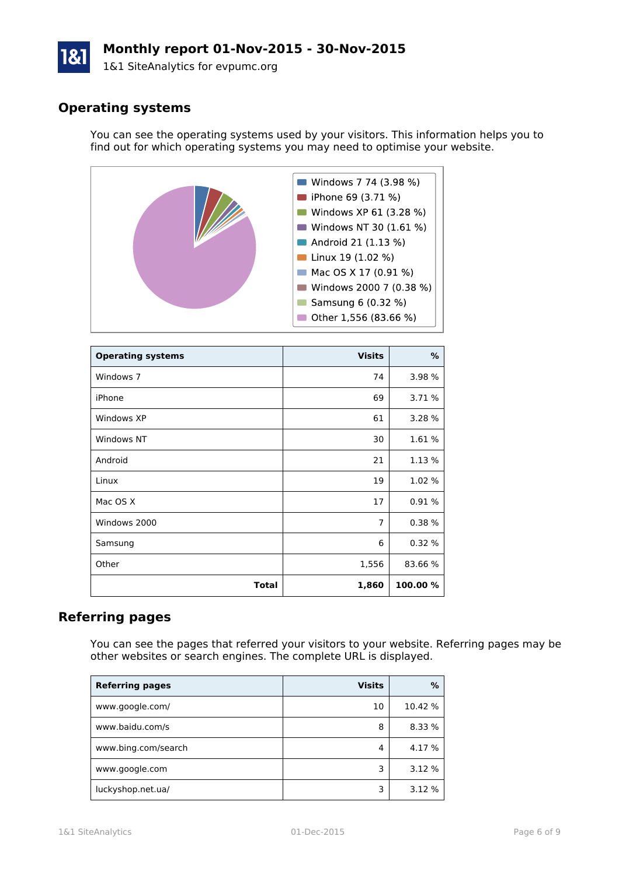# **Monthly report 01-Nov-2015 - 30-Nov-2015**

1&1 SiteAnalytics for evpumc.org

# **Operating systems**

You can see the operating systems used by your visitors. This information helps you to find out for which operating systems you may need to optimise your website.



| <b>Operating systems</b> | <b>Visits</b>  | %        |
|--------------------------|----------------|----------|
| Windows 7                | 74             | 3.98 %   |
| iPhone                   | 69             | 3.71 %   |
| Windows XP               | 61             | 3.28 %   |
| Windows NT               | 30             | 1.61%    |
| Android                  | 21             | 1.13 %   |
| Linux                    | 19             | 1.02 %   |
| Mac OS X                 | 17             | 0.91%    |
| Windows 2000             | $\overline{7}$ | 0.38%    |
| Samsung                  | 6              | 0.32%    |
| Other                    | 1,556          | 83.66 %  |
| <b>Total</b>             | 1,860          | 100.00 % |

### **Referring pages**

You can see the pages that referred your visitors to your website. Referring pages may be other websites or search engines. The complete URL is displayed.

| <b>Referring pages</b> | <b>Visits</b> | %       |
|------------------------|---------------|---------|
| www.google.com/        | 10            | 10.42 % |
| www.baidu.com/s        | 8             | 8.33 %  |
| www.bing.com/search    | 4             | 4.17 %  |
| www.google.com         | 3             | 3.12 %  |
| luckyshop.net.ua/      | 3             | 3.12 %  |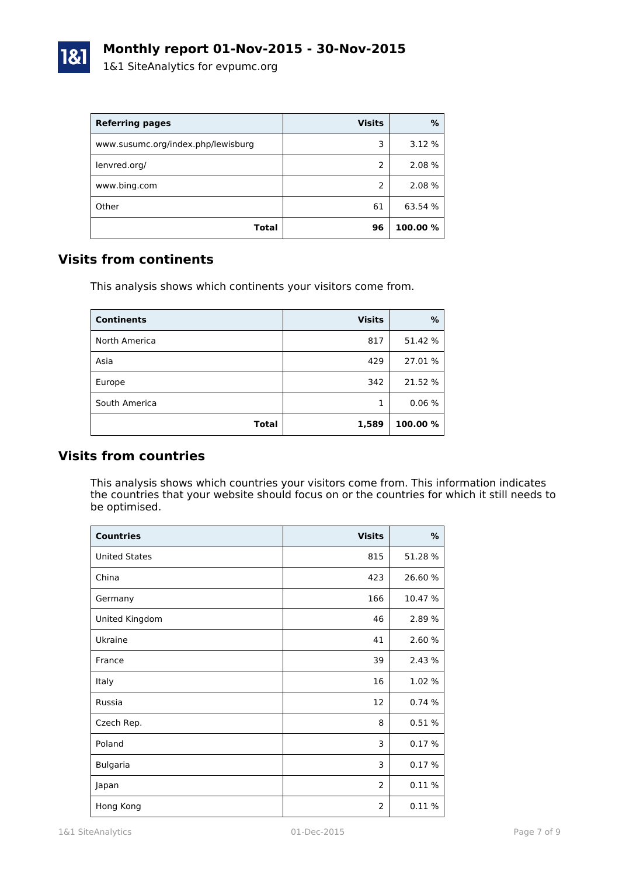| <b>Referring pages</b>             | <b>Visits</b> | %        |
|------------------------------------|---------------|----------|
| www.susumc.org/index.php/lewisburg | 3             | 3.12 %   |
| lenvred.org/                       | $\mathcal{P}$ | 2.08 %   |
| www.bing.com                       | $\mathcal{P}$ | 2.08 %   |
| Other                              | 61            | 63.54 %  |
| Total                              | 96            | 100.00 % |

### **Visits from continents**

This analysis shows which continents your visitors come from.

| <b>Continents</b> | <b>Visits</b> | %        |
|-------------------|---------------|----------|
| North America     | 817           | 51.42 %  |
| Asia              | 429           | 27.01%   |
| Europe            | 342           | 21.52 %  |
| South America     |               | 0.06%    |
| <b>Total</b>      | 1,589         | 100.00 % |

### **Visits from countries**

This analysis shows which countries your visitors come from. This information indicates the countries that your website should focus on or the countries for which it still needs to be optimised.

| <b>Countries</b>     | <b>Visits</b>  | %       |
|----------------------|----------------|---------|
| <b>United States</b> | 815            | 51.28 % |
| China                | 423            | 26.60%  |
| Germany              | 166            | 10.47 % |
| United Kingdom       | 46             | 2.89 %  |
| Ukraine              | 41             | 2.60 %  |
| France               | 39             | 2.43 %  |
| Italy                | 16             | 1.02 %  |
| Russia               | 12             | 0.74%   |
| Czech Rep.           | 8              | 0.51 %  |
| Poland               | 3              | 0.17%   |
| <b>Bulgaria</b>      | 3              | 0.17%   |
| Japan                | $\overline{2}$ | 0.11%   |
| Hong Kong            | $\overline{2}$ | 0.11%   |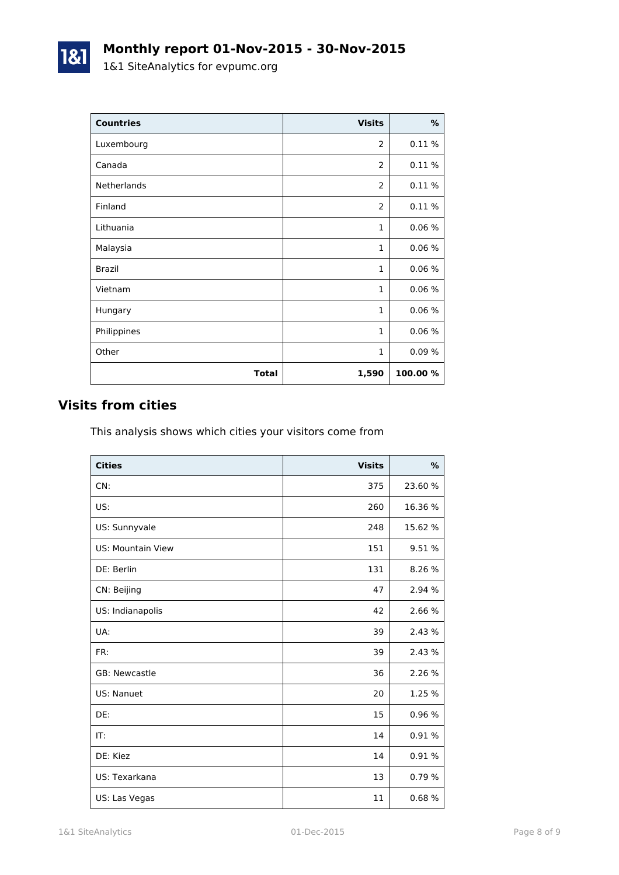| <b>Countries</b> | <b>Visits</b>  | $\%$     |
|------------------|----------------|----------|
| Luxembourg       | 2              | 0.11%    |
| Canada           | 2              | 0.11%    |
| Netherlands      | $\overline{2}$ | 0.11%    |
| Finland          | 2              | 0.11%    |
| Lithuania        | 1              | 0.06%    |
| Malaysia         | 1              | 0.06%    |
| <b>Brazil</b>    | $\mathbf{1}$   | 0.06%    |
| Vietnam          | $\mathbf{1}$   | 0.06%    |
| Hungary          | $\mathbf{1}$   | 0.06%    |
| Philippines      | $\mathbf{1}$   | 0.06%    |
| Other            | $\mathbf{1}$   | 0.09%    |
| <b>Total</b>     | 1,590          | 100.00 % |

# **Visits from cities**

1&1

This analysis shows which cities your visitors come from

| <b>Cities</b>            | <b>Visits</b> | $\frac{9}{6}$ |
|--------------------------|---------------|---------------|
| CN:                      | 375           | 23.60 %       |
| US:                      | 260           | 16.36 %       |
| US: Sunnyvale            | 248           | 15.62 %       |
| <b>US: Mountain View</b> | 151           | 9.51 %        |
| DE: Berlin               | 131           | 8.26 %        |
| CN: Beijing              | 47            | 2.94 %        |
| US: Indianapolis         | 42            | 2.66 %        |
| UA:                      | 39            | 2.43 %        |
| FR:                      | 39            | 2.43 %        |
| GB: Newcastle            | 36            | 2.26 %        |
| US: Nanuet               | 20            | 1.25 %        |
| DE:                      | 15            | 0.96%         |
| IT:                      | 14            | 0.91%         |
| DE: Kiez                 | 14            | 0.91%         |
| US: Texarkana            | 13            | 0.79%         |
| US: Las Vegas            | 11            | 0.68%         |